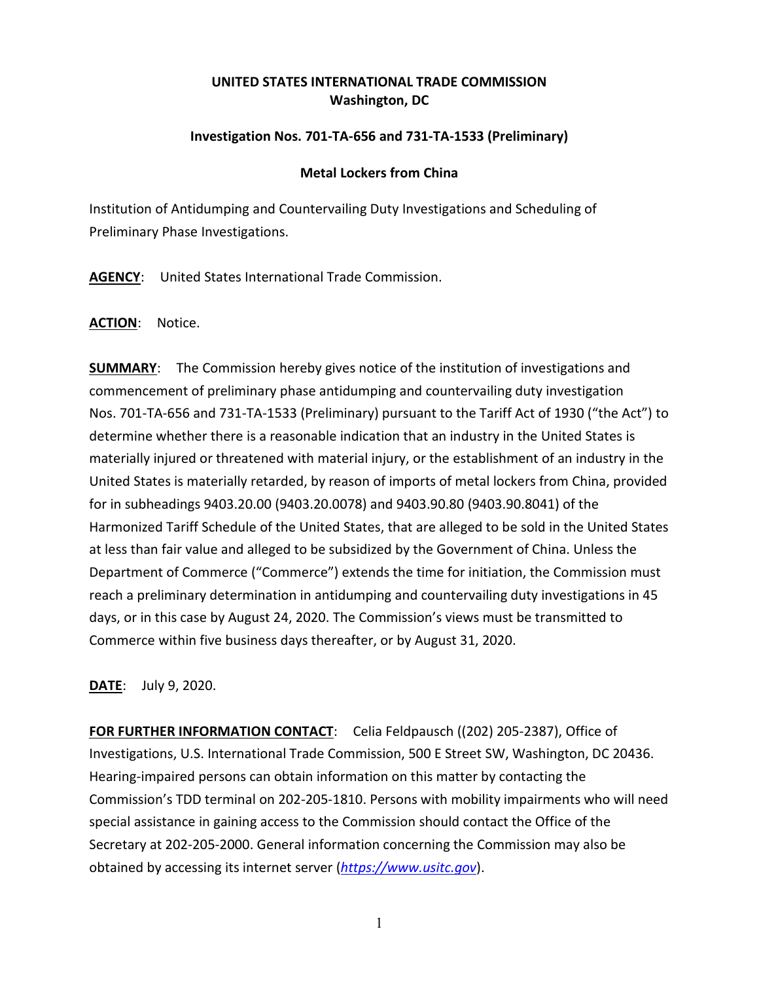# **UNITED STATES INTERNATIONAL TRADE COMMISSION Washington, DC**

## **Investigation Nos. 701-TA-656 and 731-TA-1533 (Preliminary)**

## **Metal Lockers from China**

Institution of Antidumping and Countervailing Duty Investigations and Scheduling of Preliminary Phase Investigations.

**AGENCY**: United States International Trade Commission.

### **ACTION**: Notice.

**SUMMARY:** The Commission hereby gives notice of the institution of investigations and commencement of preliminary phase antidumping and countervailing duty investigation Nos. 701-TA-656 and 731-TA-1533 (Preliminary) pursuant to the Tariff Act of 1930 ("the Act") to determine whether there is a reasonable indication that an industry in the United States is materially injured or threatened with material injury, or the establishment of an industry in the United States is materially retarded, by reason of imports of metal lockers from China, provided for in subheadings 9403.20.00 (9403.20.0078) and 9403.90.80 (9403.90.8041) of the Harmonized Tariff Schedule of the United States, that are alleged to be sold in the United States at less than fair value and alleged to be subsidized by the Government of China. Unless the Department of Commerce ("Commerce") extends the time for initiation, the Commission must reach a preliminary determination in antidumping and countervailing duty investigations in 45 days, or in this case by August 24, 2020. The Commission's views must be transmitted to Commerce within five business days thereafter, or by August 31, 2020.

**DATE**: July 9, 2020.

**FOR FURTHER INFORMATION CONTACT**: Celia Feldpausch ((202) 205-2387), Office of Investigations, U.S. International Trade Commission, 500 E Street SW, Washington, DC 20436. Hearing-impaired persons can obtain information on this matter by contacting the Commission's TDD terminal on 202-205-1810. Persons with mobility impairments who will need special assistance in gaining access to the Commission should contact the Office of the Secretary at 202-205-2000. General information concerning the Commission may also be obtained by accessing its internet server (*[https://www.usitc.gov](https://www.usitc.gov/)*).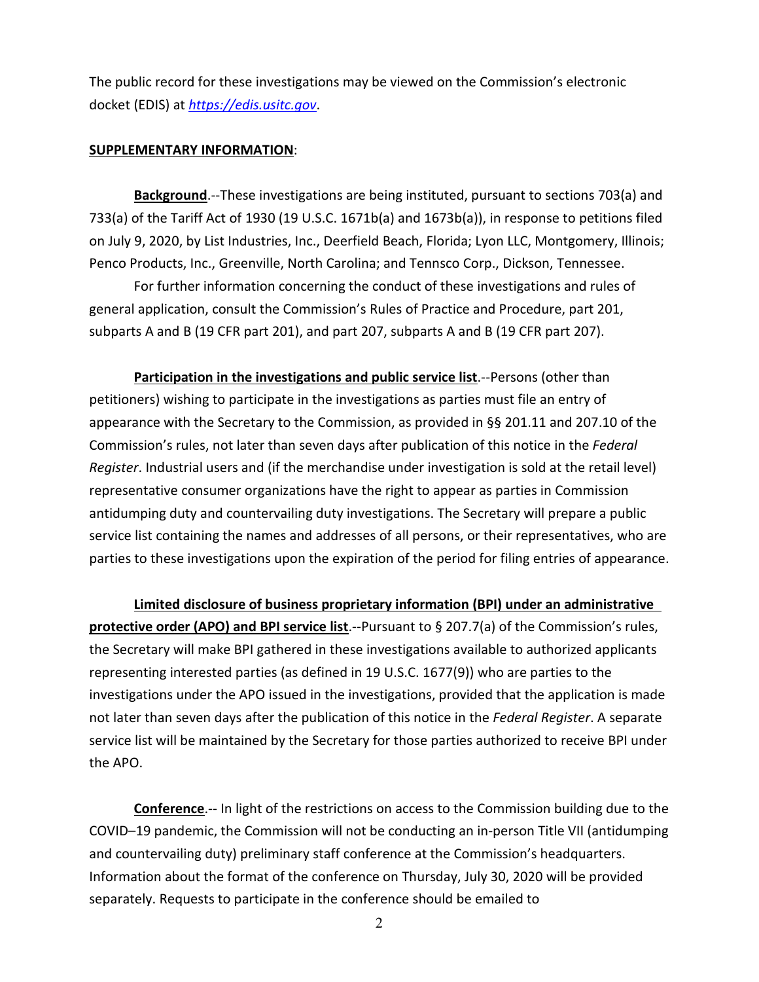The public record for these investigations may be viewed on the Commission's electronic docket (EDIS) at *[https://edis.usitc.gov](https://edis.usitc.gov/)*.

#### **SUPPLEMENTARY INFORMATION**:

**Background**.--These investigations are being instituted, pursuant to sections 703(a) and 733(a) of the Tariff Act of 1930 (19 U.S.C. 1671b(a) and 1673b(a)), in response to petitions filed on July 9, 2020, by List Industries, Inc., Deerfield Beach, Florida; Lyon LLC, Montgomery, Illinois; Penco Products, Inc., Greenville, North Carolina; and Tennsco Corp., Dickson, Tennessee.

For further information concerning the conduct of these investigations and rules of general application, consult the Commission's Rules of Practice and Procedure, part 201, subparts A and B (19 CFR part 201), and part 207, subparts A and B (19 CFR part 207).

**Participation in the investigations and public service list**.--Persons (other than petitioners) wishing to participate in the investigations as parties must file an entry of appearance with the Secretary to the Commission, as provided in §§ 201.11 and 207.10 of the Commission's rules, not later than seven days after publication of this notice in the *Federal Register*. Industrial users and (if the merchandise under investigation is sold at the retail level) representative consumer organizations have the right to appear as parties in Commission antidumping duty and countervailing duty investigations. The Secretary will prepare a public service list containing the names and addresses of all persons, or their representatives, who are parties to these investigations upon the expiration of the period for filing entries of appearance.

**Limited disclosure of business proprietary information (BPI) under an administrative protective order (APO) and BPI service list**.--Pursuant to § 207.7(a) of the Commission's rules, the Secretary will make BPI gathered in these investigations available to authorized applicants representing interested parties (as defined in 19 U.S.C. 1677(9)) who are parties to the investigations under the APO issued in the investigations, provided that the application is made not later than seven days after the publication of this notice in the *Federal Register*. A separate service list will be maintained by the Secretary for those parties authorized to receive BPI under the APO.

**Conference**.-- In light of the restrictions on access to the Commission building due to the COVID–19 pandemic, the Commission will not be conducting an in-person Title VII (antidumping and countervailing duty) preliminary staff conference at the Commission's headquarters. Information about the format of the conference on Thursday, July 30, 2020 will be provided separately. Requests to participate in the conference should be emailed to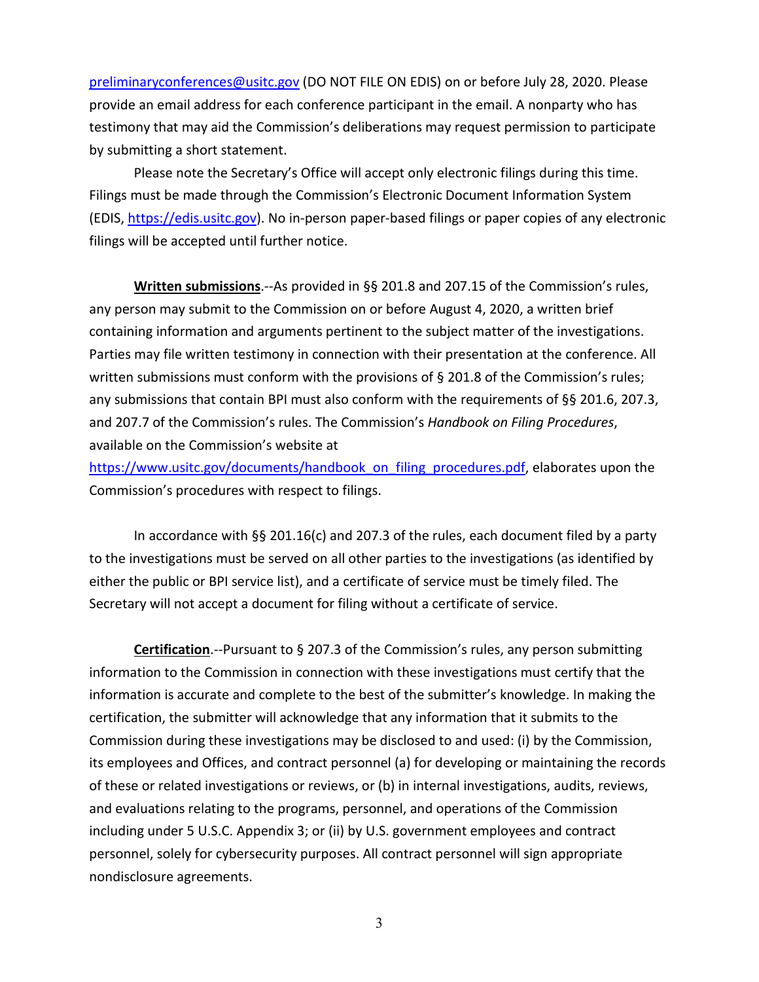[preliminaryconferences@usitc.gov](mailto:preliminaryconferences@usitc.gov) (DO NOT FILE ON EDIS) on or before July 28, 2020. Please provide an email address for each conference participant in the email. A nonparty who has testimony that may aid the Commission's deliberations may request permission to participate by submitting a short statement.

Please note the Secretary's Office will accept only electronic filings during this time. Filings must be made through the Commission's Electronic Document Information System (EDIS, [https://edis.usitc.gov\)](https://edis.usitc.gov/). No in-person paper-based filings or paper copies of any electronic filings will be accepted until further notice.

**Written submissions**.--As provided in §§ 201.8 and 207.15 of the Commission's rules, any person may submit to the Commission on or before August 4, 2020, a written brief containing information and arguments pertinent to the subject matter of the investigations. Parties may file written testimony in connection with their presentation at the conference. All written submissions must conform with the provisions of § 201.8 of the Commission's rules; any submissions that contain BPI must also conform with the requirements of §§ 201.6, 207.3, and 207.7 of the Commission's rules. The Commission's *Handbook on Filing Procedures*, available on the Commission's website at

[https://www.usitc.gov/documents/handbook\\_on\\_filing\\_procedures.pdf,](https://www.usitc.gov/documents/handbook_on_filing_procedures.pdf) elaborates upon the Commission's procedures with respect to filings.

In accordance with §§ 201.16(c) and 207.3 of the rules, each document filed by a party to the investigations must be served on all other parties to the investigations (as identified by either the public or BPI service list), and a certificate of service must be timely filed. The Secretary will not accept a document for filing without a certificate of service.

**Certification**.--Pursuant to § 207.3 of the Commission's rules, any person submitting information to the Commission in connection with these investigations must certify that the information is accurate and complete to the best of the submitter's knowledge. In making the certification, the submitter will acknowledge that any information that it submits to the Commission during these investigations may be disclosed to and used: (i) by the Commission, its employees and Offices, and contract personnel (a) for developing or maintaining the records of these or related investigations or reviews, or (b) in internal investigations, audits, reviews, and evaluations relating to the programs, personnel, and operations of the Commission including under 5 U.S.C. Appendix 3; or (ii) by U.S. government employees and contract personnel, solely for cybersecurity purposes. All contract personnel will sign appropriate nondisclosure agreements.

3